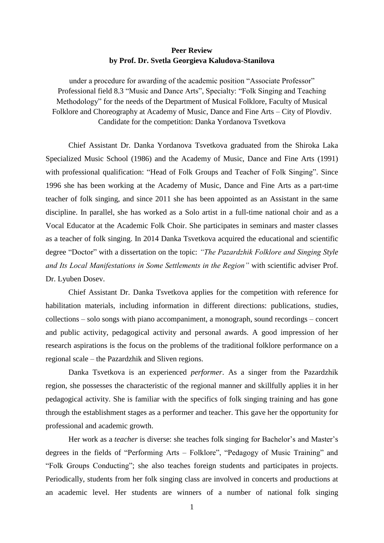## **Peer Review by Prof. Dr. Svetla Georgieva Kaludova-Stanilova**

under a procedure for awarding of the academic position "Associate Professor" Professional field 8.3 "Music and Dance Arts", Specialty: "Folk Singing and Teaching Methodology" for the needs of the Department of Musical Folklore, Faculty of Musical Folklore and Choreography at Academy of Music, Dance and Fine Arts – City of Plovdiv. Candidate for the competition: Danka Yordanova Tsvetkova

Chief Assistant Dr. Danka Yordanova Tsvetkova graduated from the Shiroka Laka Specialized Music School (1986) and the Academy of Music, Dance and Fine Arts (1991) with professional qualification: "Head of Folk Groups and Teacher of Folk Singing". Since 1996 she has been working at the Academy of Music, Dance and Fine Arts as a part-time teacher of folk singing, and since 2011 she has been appointed as an Assistant in the same discipline. In parallel, she has worked as a Solo artist in a full-time national choir and as a Vocal Educator at the Academic Folk Choir. She participates in seminars and master classes as a teacher of folk singing. In 2014 Danka Tsvetkova acquired the educational and scientific degree "Doctor" with a dissertation on the topic: *"The Pazardzhik Folklore and Singing Style and Its Local Manifestations in Some Settlements in the Region"* with scientific adviser Prof. Dr. Lyuben Dosev.

Chief Assistant Dr. Danka Tsvetkova applies for the competition with reference for habilitation materials, including information in different directions: publications, studies, collections – solo songs with piano accompaniment, a monograph, sound recordings – concert and public activity, pedagogical activity and personal awards. A good impression of her research aspirations is the focus on the problems of the traditional folklore performance on a regional scale – the Pazardzhik and Sliven regions.

Danka Tsvetkova is an experienced *performer*. As a singer from the Pazardzhik region, she possesses the characteristic of the regional manner and skillfully applies it in her pedagogical activity. She is familiar with the specifics of folk singing training and has gone through the establishment stages as a performer and teacher. This gave her the opportunity for professional and academic growth.

Her work as a *teacher* is diverse: she teaches folk singing for Bachelor's and Master's degrees in the fields of "Performing Arts – Folklore", "Pedagogy of Music Training" and "Folk Groups Conducting"; she also teaches foreign students and participates in projects. Periodically, students from her folk singing class are involved in concerts and productions at an academic level. Her students are winners of a number of national folk singing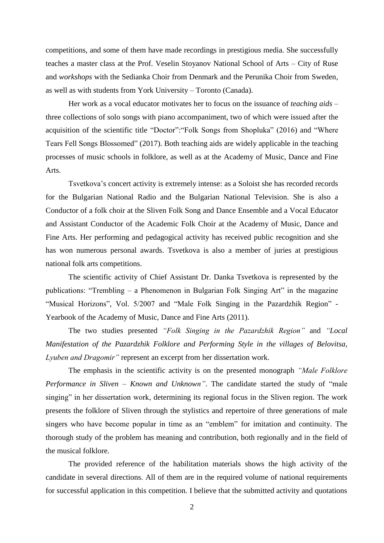competitions, and some of them have made recordings in prestigious media. She successfully teaches a master class at the Prof. Veselin Stoyanov National School of Arts – City of Ruse and *workshops* with the Sedianka Choir from Denmark and the Perunika Choir from Sweden, as well as with students from York University – Toronto (Canada).

Her work as a vocal educator motivates her to focus on the issuance of *teaching aids* – three collections of solo songs with piano accompaniment, two of which were issued after the acquisition of the scientific title "Doctor":"Folk Songs from Shopluka" (2016) and "Where Tears Fell Songs Blossomed" (2017). Both teaching aids are widely applicable in the teaching processes of music schools in folklore, as well as at the Academy of Music, Dance and Fine Arts.

Tsvetkova's concert activity is extremely intense: as a Soloist she has recorded records for the Bulgarian National Radio and the Bulgarian National Television. She is also a Conductor of a folk choir at the Sliven Folk Song and Dance Ensemble and a Vocal Educator and Assistant Conductor of the Academic Folk Choir at the Academy of Music, Dance and Fine Arts. Her performing and pedagogical activity has received public recognition and she has won numerous personal awards. Tsvetkova is also a member of juries at prestigious national folk arts competitions.

The scientific activity of Chief Assistant Dr. Danka Tsvetkova is represented by the publications: "Trembling – a Phenomenon in Bulgarian Folk Singing Art" in the magazine "Musical Horizons", Vol. 5/2007 and "Male Folk Singing in the Pazardzhik Region" - Yearbook of the Academy of Music, Dance and Fine Arts (2011).

The two studies presented *"Folk Singing in the Pazardzhik Region"* and *"Local Manifestation of the Pazardzhik Folklore and Performing Style in the villages of Belovitsa, Lyuben and Dragomir"* represent an excerpt from her dissertation work.

The emphasis in the scientific activity is on the presented monograph *"Male Folklore Performance in Sliven – Known and Unknown"*. The candidate started the study of "male singing" in her dissertation work, determining its regional focus in the Sliven region. The work presents the folklore of Sliven through the stylistics and repertoire of three generations of male singers who have become popular in time as an "emblem" for imitation and continuity. The thorough study of the problem has meaning and contribution, both regionally and in the field of the musical folklore.

The provided reference of the habilitation materials shows the high activity of the candidate in several directions. All of them are in the required volume of national requirements for successful application in this competition. I believe that the submitted activity and quotations